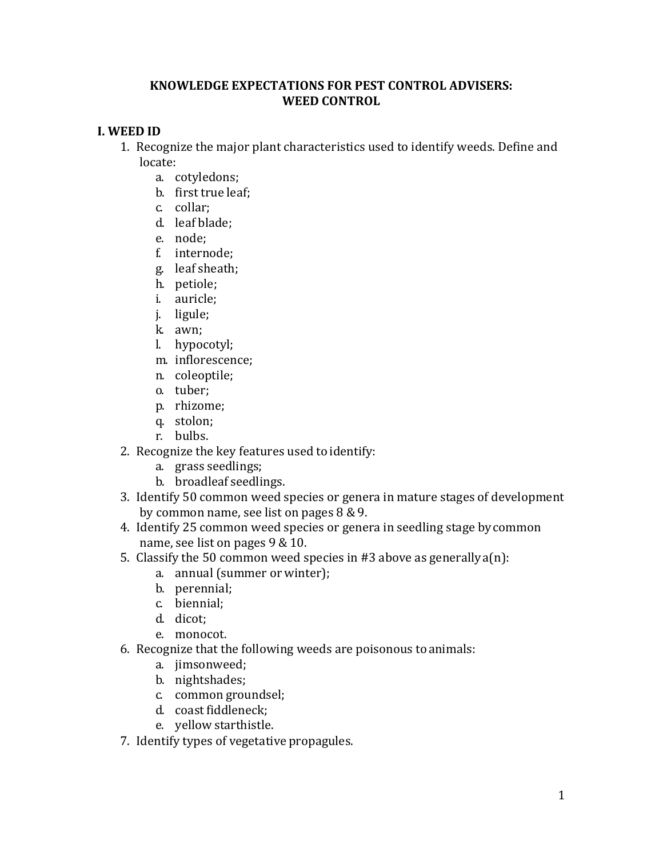## **KNOWLEDGE EXPECTATIONS FOR PEST CONTROL ADVISERS: WEED CONTROL**

## **I. WEED ID**

- 1. Recognize the major plant characteristics used to identify weeds. Define and locate:
	- a. cotyledons;
	- b. first true leaf;
	- c. collar;
	- d. leaf blade;
	- e. node;
	- f. internode;
	- g. leaf sheath;
	- h. petiole;
	- i. auricle;
	- j. ligule;
	- k. awn;
	- l. hypocotyl;
	- m. inflorescence;
	- n. coleoptile;
	- o. tuber;
	- p. rhizome;
	- q. stolon;
	- r. bulbs.
- 2. Recognize the key features used to identify:
	- a. grass seedlings;
	- b. broadleaf seedlings.
- 3. Identify 50 common weed species or genera in mature stages of development by common name, see list on pages 8 &9.
- 4. Identify 25 common weed species or genera in seedling stage bycommon name, see list on pages 9 & 10.
- 5. Classify the 50 common weed species in #3 above as generally  $a(n)$ :
	- a. annual (summer or winter);
	- b. perennial;
	- c. biennial;
	- d. dicot;
	- e. monocot.
- 6. Recognize that the following weeds are poisonous toanimals:
	- a. jimsonweed;
	- b. nightshades;
	- c. common groundsel;
	- d. coast fiddleneck;
	- e. yellow starthistle.
- 7. Identify types of vegetative propagules.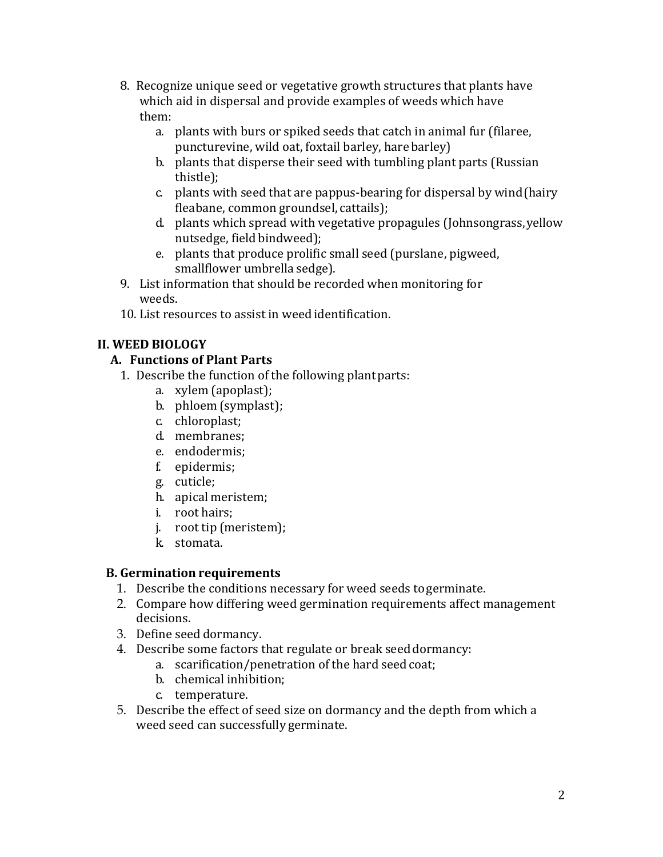- 8. Recognize unique seed or vegetative growth structures that plants have which aid in dispersal and provide examples of weeds which have them:
	- a. plants with burs or spiked seeds that catch in animal fur (filaree, puncturevine, wild oat, foxtail barley, harebarley)
	- b. plants that disperse their seed with tumbling plant parts (Russian thistle);
	- c. plants with seed that are pappus-bearing for dispersal by wind(hairy fleabane, common groundsel, cattails);
	- d. plants which spread with vegetative propagules (Johnsongrass,yellow nutsedge, field bindweed);
	- e. plants that produce prolific small seed (purslane, pigweed, smallflower umbrella sedge).
- 9. List information that should be recorded when monitoring for weeds.
- 10. List resources to assist in weed identification.

# **II. WEED BIOLOGY**

# **A. Functions of Plant Parts**

- 1. Describe the function of the following plantparts:
	- a. xylem (apoplast);
	- b. phloem (symplast);
	- c. chloroplast;
	- d. membranes;
	- e. endodermis;
	- f. epidermis;
	- g. cuticle;
	- h. apical meristem;
	- i. root hairs;
	- j. root tip (meristem);
	- k. stomata.

# **B. Germination requirements**

- 1. Describe the conditions necessary for weed seeds togerminate.
- 2. Compare how differing weed germination requirements affect management decisions.
- 3. Define seed dormancy.
- 4. Describe some factors that regulate or break seed dormancy:
	- a. scarification/penetration of the hard seedcoat;
	- b. chemical inhibition;
	- c. temperature.
- 5. Describe the effect of seed size on dormancy and the depth from which a weed seed can successfully germinate.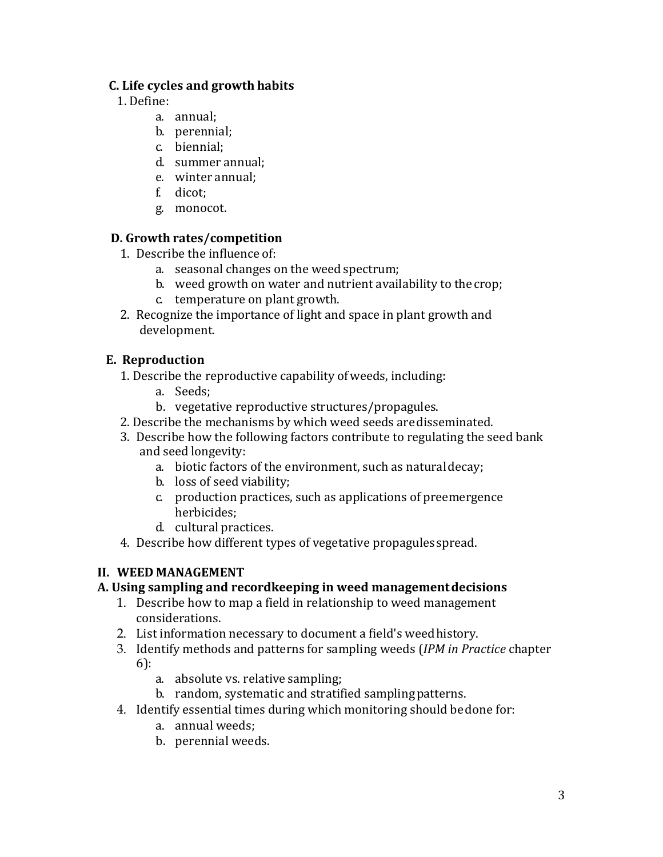# **C. Life cycles and growth habits**

- 1. Define:
	- a. annual;
	- b. perennial;
	- c. biennial;
	- d. summer annual;
	- e. winter annual;
	- f. dicot;
	- g. monocot.

# **D. Growth rates/competition**

- 1. Describe the influence of:
	- a. seasonal changes on the weed spectrum;
	- b. weed growth on water and nutrient availability to the crop;
	- c. temperature on plant growth.
- 2. Recognize the importance of light and space in plant growth and development.

# **E. Reproduction**

- 1. Describe the reproductive capability ofweeds, including:
	- a. Seeds;
	- b. vegetative reproductive structures/propagules.
- 2. Describe the mechanisms by which weed seeds aredisseminated.
- 3. Describe how the following factors contribute to regulating the seed bank and seed longevity:
	- a. biotic factors of the environment, such as naturaldecay;
	- b. loss of seed viability;
	- c. production practices, such as applications of preemergence herbicides;
	- d. cultural practices.
- 4. Describe how different types of vegetative propagules spread.

# **II. WEED MANAGEMENT**

# **A. Using sampling and recordkeeping in weed managementdecisions**

- 1. Describe how to map a field in relationship to weed management considerations.
- 2. List information necessary to document a field's weedhistory.
- 3. Identify methods and patterns for sampling weeds (*IPM in Practice* chapter 6):
	- a. absolute vs. relative sampling;
	- b. random, systematic and stratified samplingpatterns.
- 4. Identify essential times during which monitoring should bedone for:
	- a. annual weeds;
	- b. perennial weeds.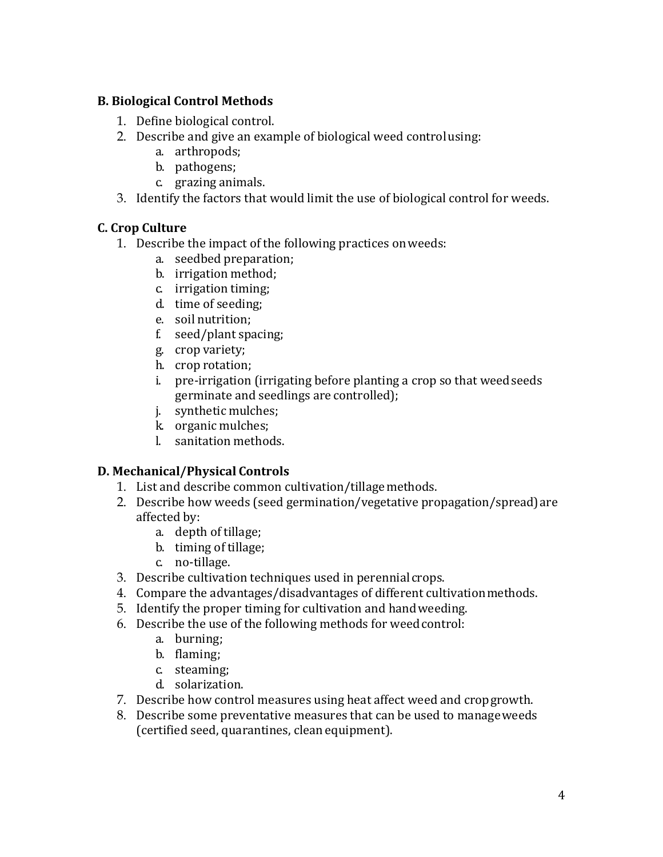# **B. Biological Control Methods**

- 1. Define biological control.
- 2. Describe and give an example of biological weed controlusing:
	- a. arthropods;
	- b. pathogens;
	- c. grazing animals.
- 3. Identify the factors that would limit the use of biological control for weeds.

# **C. Crop Culture**

- 1. Describe the impact of the following practices onweeds:
	- a. seedbed preparation;
	- b. irrigation method;
	- c. irrigation timing;
	- d. time of seeding;
	- e. soil nutrition;
	- f. seed/plant spacing;
	- g. crop variety;
	- h. crop rotation;
	- i. pre-irrigation (irrigating before planting a crop so that weed seeds germinate and seedlings are controlled);
	- j. synthetic mulches;
	- k. organic mulches;
	- l. sanitation methods.

# **D. Mechanical/Physical Controls**

- 1. List and describe common cultivation/tillagemethods.
- 2. Describe how weeds (seed germination/vegetative propagation/spread)are affected by:
	- a. depth of tillage;
	- b. timing of tillage;
	- c. no-tillage.
- 3. Describe cultivation techniques used in perennial crops.
- 4. Compare the advantages/disadvantages of different cultivationmethods.
- 5. Identify the proper timing for cultivation and handweeding.
- 6. Describe the use of the following methods for weedcontrol:
	- a. burning;
	- b. flaming;
	- c. steaming;
	- d. solarization.
- 7. Describe how control measures using heat affect weed and cropgrowth.
- 8. Describe some preventative measures that can be used to manageweeds (certified seed, quarantines, cleanequipment).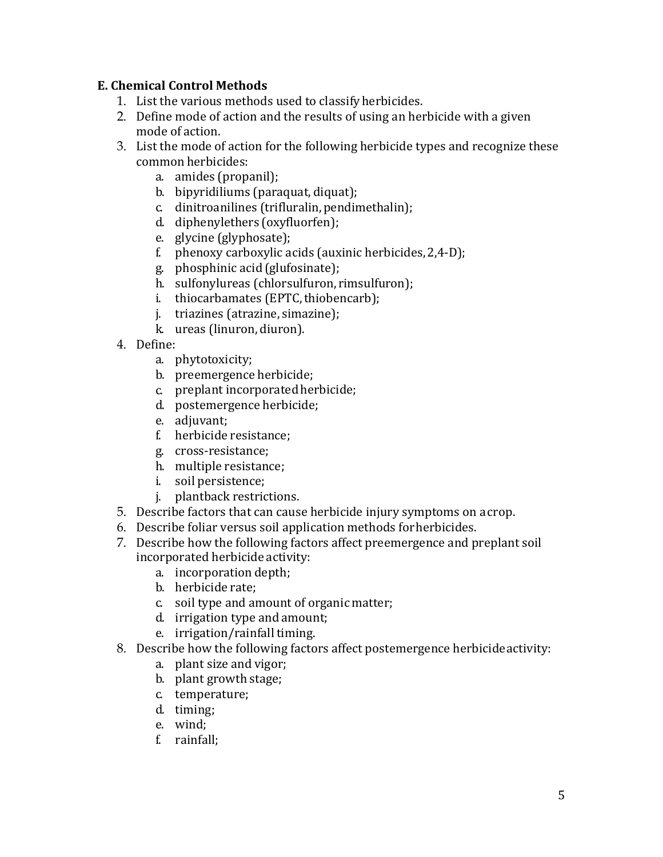## **E. Chemical Control Methods**

- 1. List the various methods used to classifyherbicides.
- 2. Define mode of action and the results of using an herbicide with a given mode of action.
- 3. List the mode of action for the following herbicide types and recognize these common herbicides:
	- a. amides (propanil);
	- b. bipyridiliums (paraquat, diquat);
	- c. dinitroanilines (trifluralin,pendimethalin);
	- d. diphenylethers (oxyfluorfen);
	- e. glycine (glyphosate);
	- f. phenoxy carboxylic acids (auxinic herbicides,2,4-D);
	- g. phosphinic acid (glufosinate);
	- h. sulfonylureas (chlorsulfuron, rimsulfuron);
	- i. thiocarbamates (EPTC, thiobencarb);
	- j. triazines (atrazine, simazine);
	- k. ureas (linuron, diuron).
- 4. Define:
	- a. phytotoxicity;
	- b. preemergence herbicide;
	- c. preplant incorporated herbicide;
	- d. postemergence herbicide;
	- e. adjuvant;
	- f. herbicide resistance;
	- g. cross-resistance;
	- h. multiple resistance;
	- i. soil persistence;
	- plantback restrictions.
- 5. Describe factors that can cause herbicide injury symptoms on acrop.
- 6. Describe foliar versus soil application methods forherbicides.
- 7. Describe how the following factors affect preemergence and preplant soil incorporated herbicide activity:
	- a. incorporation depth;
	- b. herbicide rate;
	- c. soil type and amount of organic matter;
	- d. irrigation type and amount;
	- e. irrigation/rainfall timing.
- 8. Describe how the following factors affect postemergence herbicideactivity:
	- a. plant size and vigor;
	- b. plant growth stage;
	- c. temperature;
	- d. timing;
	- e. wind;
	- f. rainfall;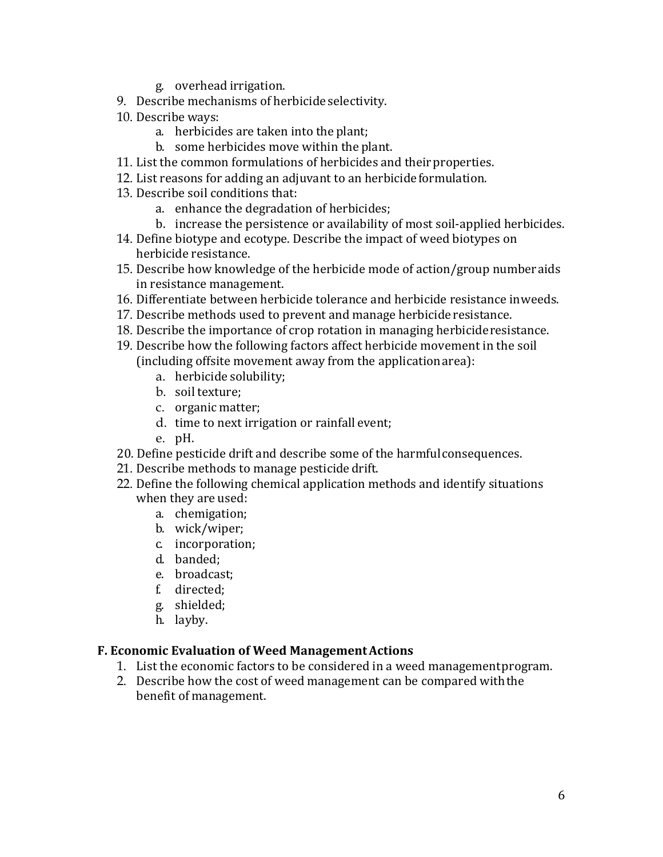- g. overhead irrigation.
- 9. Describe mechanisms of herbicide selectivity.
- 10. Describe ways:
	- a. herbicides are taken into the plant;
	- b. some herbicides move within the plant.
- 11. List the common formulations of herbicides and their properties.
- 12. List reasons for adding an adjuvant to an herbicideformulation.
- 13. Describe soil conditions that:
	- a. enhance the degradation of herbicides;
	- b. increase the persistence or availability of most soil-applied herbicides.
- 14. Define biotype and ecotype. Describe the impact of weed biotypes on herbicide resistance.
- 15. Describe how knowledge of the herbicide mode of action/group numberaids in resistance management.
- 16. Differentiate between herbicide tolerance and herbicide resistance inweeds.
- 17. Describe methods used to prevent and manage herbicide resistance.
- 18. Describe the importance of crop rotation in managing herbicideresistance.
- 19. Describe how the following factors affect herbicide movement in the soil (including offsite movement away from the applicationarea):
	- a. herbicide solubility;
	- b. soil texture;
	- c. organic matter;
	- d. time to next irrigation or rainfall event;
	- e. pH.
- 20. Define pesticide drift and describe some of the harmfulconsequences.
- 21. Describe methods to manage pesticide drift.
- 22. Define the following chemical application methods and identify situations when they are used:
	- a. chemigation;
	- b. wick/wiper;
	- c. incorporation;
	- d. banded;
	- e. broadcast;
	- f. directed;
	- g. shielded;
	- h. layby.

## **F. Economic Evaluation of Weed ManagementActions**

- 1. List the economic factors to be considered in a weed managementprogram.
- 2. Describe how the cost of weed management can be compared withthe benefit of management.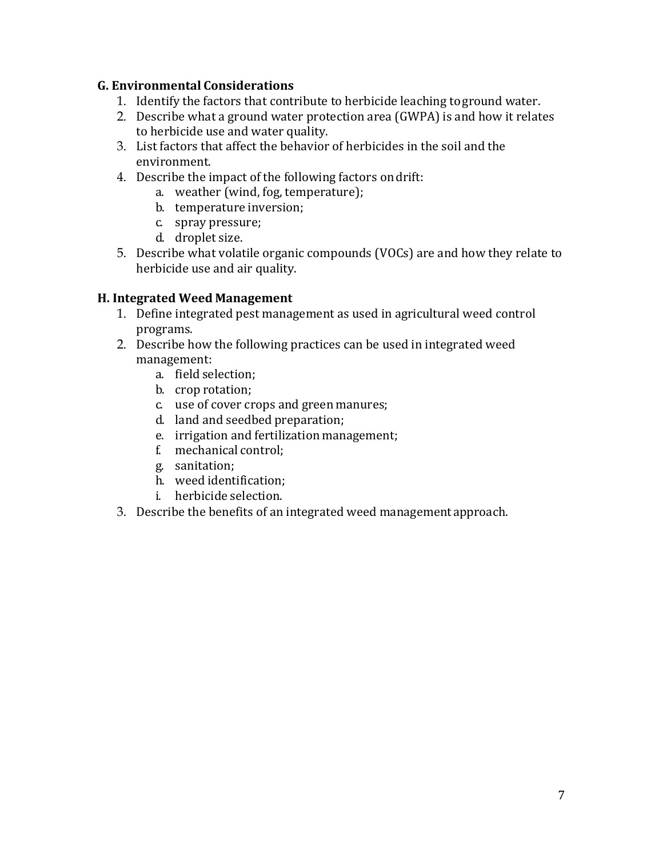## **G. Environmental Considerations**

- 1. Identify the factors that contribute to herbicide leaching toground water.
- 2. Describe what a ground water protection area (GWPA) is and how it relates to herbicide use and water quality.
- 3. List factors that affect the behavior of herbicides in the soil and the environment.
- 4. Describe the impact of the following factors ondrift:
	- a. weather (wind, fog, temperature);
	- b. temperature inversion;
	- c. spray pressure;
	- d. droplet size.
- 5. Describe what volatile organic compounds (VOCs) are and how they relate to herbicide use and air quality.

## **H. Integrated Weed Management**

- 1. Define integrated pest management as used in agricultural weed control programs.
- 2. Describe how the following practices can be used in integrated weed management:
	- a. field selection;
	- b. crop rotation;
	- c. use of cover crops and green manures;
	- d. land and seedbed preparation;
	- e. irrigation and fertilization management;
	- f. mechanical control;
	- g. sanitation;
	- h. weed identification;
	- i. herbicide selection.
- 3. Describe the benefits of an integrated weed managementapproach.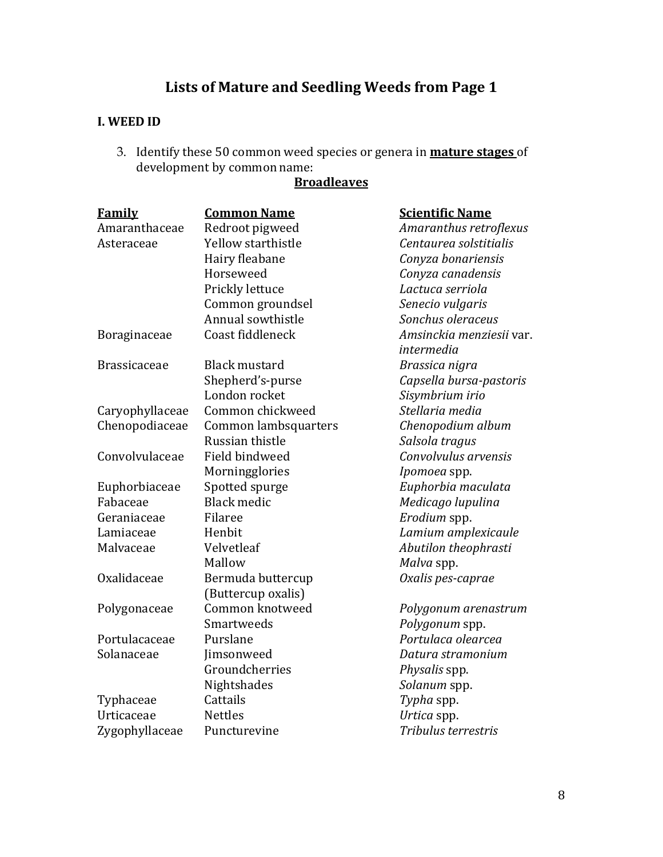# **Lists of Mature and Seedling Weeds from Page 1**

# **I. WEED ID**

3. Identify these 50 common weed species or genera in **mature stages** of development by common name:

# **Broadleaves**

| <b>Family</b>       | <b>Common Name</b>   | <b>Scientific Name</b>   |
|---------------------|----------------------|--------------------------|
| Amaranthaceae       | Redroot pigweed      | Amaranthus retroflexus   |
| Asteraceae          | Yellow starthistle   | Centaurea solstitialis   |
|                     | Hairy fleabane       | Conyza bonariensis       |
|                     | Horseweed            | Conyza canadensis        |
|                     | Prickly lettuce      | Lactuca serriola         |
|                     | Common groundsel     | Senecio vulgaris         |
|                     | Annual sowthistle    | Sonchus oleraceus        |
| Boraginaceae        | Coast fiddleneck     | Amsinckia menziesii var. |
|                     |                      | intermedia               |
| <b>Brassicaceae</b> | <b>Black mustard</b> | Brassica nigra           |
|                     | Shepherd's-purse     | Capsella bursa-pastoris  |
|                     | London rocket        | Sisymbrium irio          |
| Caryophyllaceae     | Common chickweed     | Stellaria media          |
| Chenopodiaceae      | Common lambsquarters | Chenopodium album        |
|                     | Russian thistle      | Salsola tragus           |
| Convolvulaceae      | Field bindweed       | Convolvulus arvensis     |
|                     | Morningglories       | Ipomoea spp.             |
| Euphorbiaceae       | Spotted spurge       | Euphorbia maculata       |
| Fabaceae            | <b>Black medic</b>   | Medicago lupulina        |
| Geraniaceae         | Filaree              | Erodium spp.             |
| Lamiaceae           | Henbit               | Lamium amplexicaule      |
| Malvaceae           | Velvetleaf           | Abutilon theophrasti     |
|                     | Mallow               | Malva spp.               |
| Oxalidaceae         | Bermuda buttercup    | Oxalis pes-caprae        |
|                     | (Buttercup oxalis)   |                          |
| Polygonaceae        | Common knotweed      | Polygonum arenastrum     |
|                     | Smartweeds           | Polygonum spp.           |
| Portulacaceae       | Purslane             | Portulaca olearcea       |
| Solanaceae          | Jimsonweed           | Datura stramonium        |
|                     | Groundcherries       | Physalis spp.            |
|                     | Nightshades          | Solanum spp.             |
| Typhaceae           | Cattails             | Typha spp.               |
| Urticaceae          | <b>Nettles</b>       | Urtica spp.              |
| Zygophyllaceae      | Puncturevine         | Tribulus terrestris      |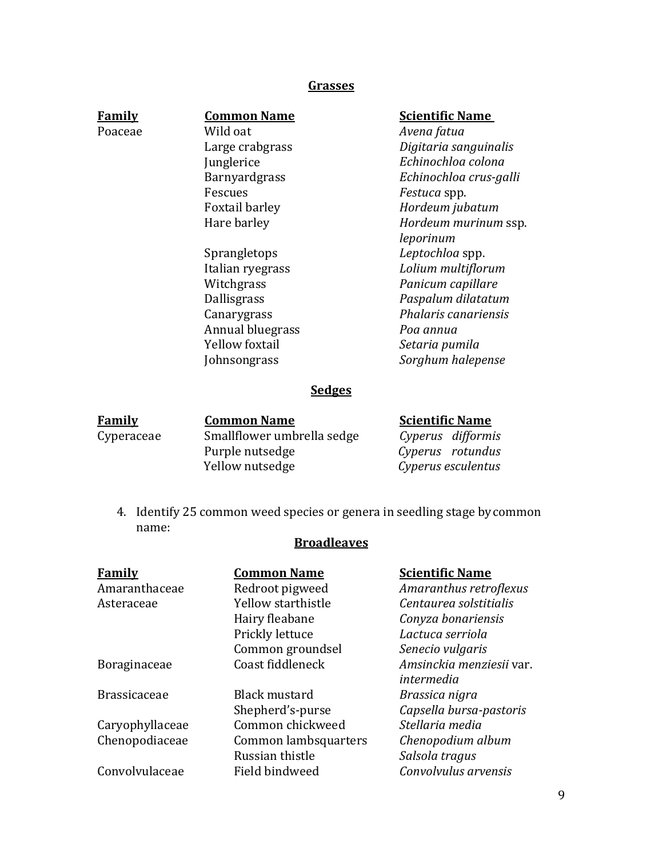## **Grasses**

| <b>Family</b> |  |
|---------------|--|
| Poaceae       |  |

## **Common Name**

Wild oat Large crabgrass Junglerice Barnyardgrass Fescues Foxtail barley Hare barley

Sprangletops Italian ryegrass Witchgrass Dallisgrass Canarygrass Annual bluegrass Yellow foxtail Johnsongrass

### **Scientific Name**

*Avena fatua Digitaria sanguinalis Echinochloa colona Echinochloa crus-galli Festuca* spp. *Hordeum jubatum Hordeum murinum* ssp. *leporinum Leptochloa* spp. *Lolium multiflorum Panicum capillare Paspalum dilatatum Phalaris canariensis Poa annua Setaria pumila Sorghum halepense*

## **Sedges**

| Family     | <b>Common Name</b>         | <b>Scientific Name</b> |
|------------|----------------------------|------------------------|
| Cyperaceae | Smallflower umbrella sedge | Cyperus difformis      |
|            | Purple nutsedge            | Cyperus rotundus       |
|            | Yellow nutsedge            | Cyperus esculentus     |

4. Identify 25 common weed species or genera in seedling stage bycommon name:

## **Broadleaves**

| <b>Family</b>       | <b>Common Name</b>   | <b>Scientific Name</b>   |
|---------------------|----------------------|--------------------------|
| Amaranthaceae       | Redroot pigweed      | Amaranthus retroflexus   |
| Asteraceae          | Yellow starthistle   | Centaurea solstitialis   |
|                     | Hairy fleabane       | Conyza bonariensis       |
|                     | Prickly lettuce      | Lactuca serriola         |
|                     | Common groundsel     | Senecio vulgaris         |
| Boraginaceae        | Coast fiddleneck     | Amsinckia menziesii var. |
|                     |                      | intermedia               |
| <b>Brassicaceae</b> | <b>Black mustard</b> | Brassica nigra           |
|                     | Shepherd's-purse     | Capsella bursa-pastoris  |
| Caryophyllaceae     | Common chickweed     | Stellaria media          |
| Chenopodiaceae      | Common lambsquarters | Chenopodium album        |
|                     | Russian thistle      | Salsola tragus           |
| Convolvulaceae      | Field bindweed       | Convolvulus arvensis     |